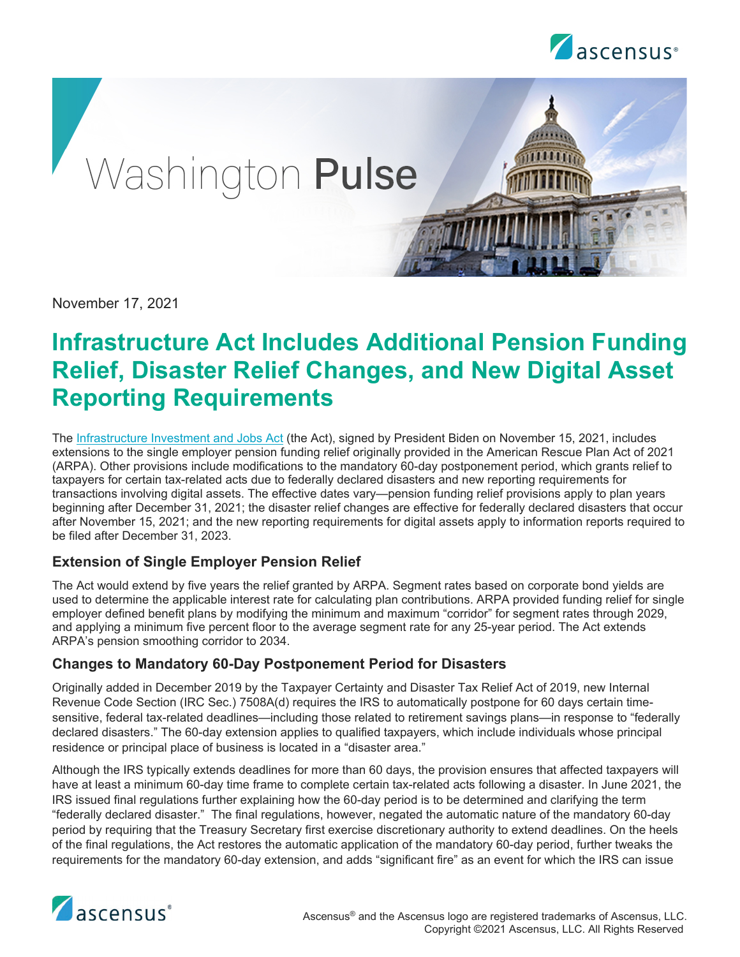



November 17, 2021

# **Infrastructure Act Includes Additional Pension Funding Relief, Disaster Relief Changes, and New Digital Asset Reporting Requirements**

The [Infrastructure Investment and Jobs Act](https://www.govinfo.gov/content/pkg/BILLS-117hr3684enr/pdf/BILLS-117hr3684enr.pdf) (the Act), signed by President Biden on November 15, 2021, includes extensions to the single employer pension funding relief originally provided in the American Rescue Plan Act of 2021 (ARPA). Other provisions include modifications to the mandatory 60-day postponement period, which grants relief to taxpayers for certain tax-related acts due to federally declared disasters and new reporting requirements for transactions involving digital assets. The effective dates vary—pension funding relief provisions apply to plan years beginning after December 31, 2021; the disaster relief changes are effective for federally declared disasters that occur after November 15, 2021; and the new reporting requirements for digital assets apply to information reports required to be filed after December 31, 2023.

## **Extension of Single Employer Pension Relief**

The Act would extend by five years the relief granted by ARPA. Segment rates based on corporate bond yields are used to determine the applicable interest rate for calculating plan contributions. ARPA provided funding relief for single employer defined benefit plans by modifying the minimum and maximum "corridor" for segment rates through 2029, and applying a minimum five percent floor to the average segment rate for any 25-year period. The Act extends ARPA's pension smoothing corridor to 2034.

#### **Changes to Mandatory 60-Day Postponement Period for Disasters**

Originally added in December 2019 by the Taxpayer Certainty and Disaster Tax Relief Act of 2019, new Internal Revenue Code Section (IRC Sec.) 7508A(d) requires the IRS to automatically postpone for 60 days certain timesensitive, federal tax-related deadlines—including those related to retirement savings plans—in response to "federally declared disasters." The 60-day extension applies to qualified taxpayers, which include individuals whose principal residence or principal place of business is located in a "disaster area."

Although the IRS typically extends deadlines for more than 60 days, the provision ensures that affected taxpayers will have at least a minimum 60-day time frame to complete certain tax-related acts following a disaster. In June 2021, the IRS issued final regulations further explaining how the 60-day period is to be determined and clarifying the term "federally declared disaster." The final regulations, however, negated the automatic nature of the mandatory 60-day period by requiring that the Treasury Secretary first exercise discretionary authority to extend deadlines. On the heels of the final regulations, the Act restores the automatic application of the mandatory 60-day period, further tweaks the requirements for the mandatory 60-day extension, and adds "significant fire" as an event for which the IRS can issue